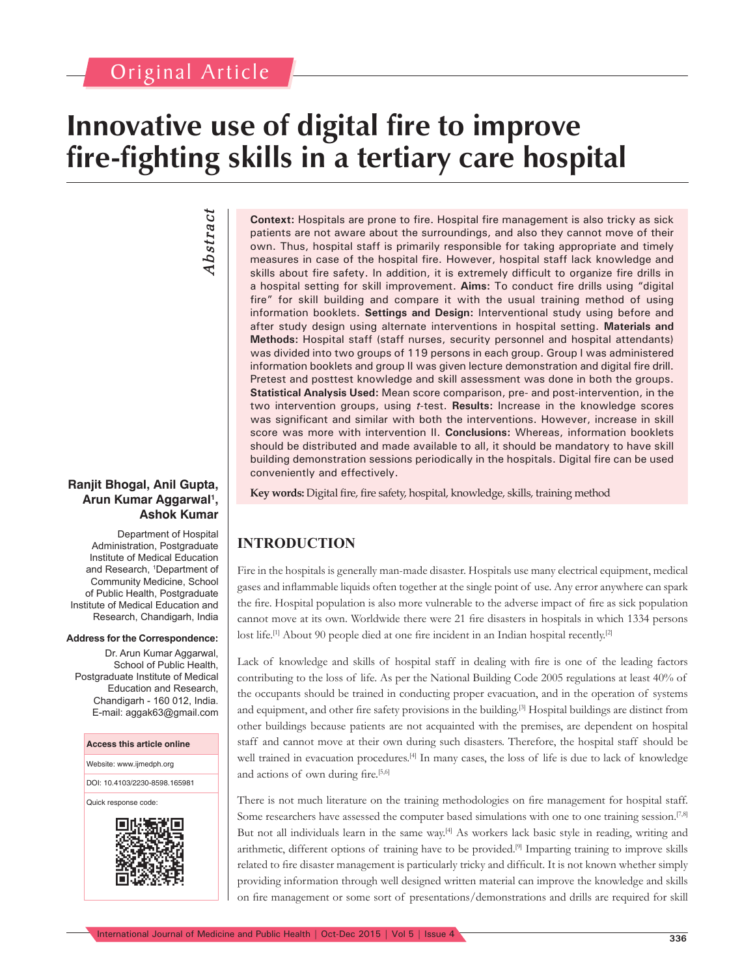# **Innovative use of digital fire to improve fire-fighting skills in a tertiary care hospital**

*Abstract* Abstract

#### **Ranjit Bhogal, Anil Gupta, Arun Kumar Aggarwal1 , Ashok Kumar**

Department of Hospital Administration, Postgraduate Institute of Medical Education and Research, <sup>1</sup> Department of Community Medicine, School of Public Health, Postgraduate Institute of Medical Education and Research, Chandigarh, India

#### **Address for the Correspondence:**

Dr. Arun Kumar Aggarwal, School of Public Health, Postgraduate Institute of Medical Education and Research, Chandigarh - 160 012, India. E-mail: aggak63@gmail.com

#### **Access this article online**

Website: www.ijmedph.org

DOI: 10.4103/2230-8598.165981

Quick response code:



**Context:** Hospitals are prone to fire. Hospital fire management is also tricky as sick patients are not aware about the surroundings, and also they cannot move of their own. Thus, hospital staff is primarily responsible for taking appropriate and timely measures in case of the hospital fire. However, hospital staff lack knowledge and skills about fire safety. In addition, it is extremely difficult to organize fire drills in a hospital setting for skill improvement. **Aims:** To conduct fire drills using "digital fire" for skill building and compare it with the usual training method of using information booklets. **Settings and Design:** Interventional study using before and after study design using alternate interventions in hospital setting. **Materials and Methods:** Hospital staff (staff nurses, security personnel and hospital attendants) was divided into two groups of 119 persons in each group. Group I was administered information booklets and group II was given lecture demonstration and digital fire drill. Pretest and posttest knowledge and skill assessment was done in both the groups. **Statistical Analysis Used:** Mean score comparison, pre- and post-intervention, in the two intervention groups, using *t*-test. **Results:** Increase in the knowledge scores was significant and similar with both the interventions. However, increase in skill score was more with intervention II. **Conclusions:** Whereas, information booklets should be distributed and made available to all, it should be mandatory to have skill building demonstration sessions periodically in the hospitals. Digital fire can be used conveniently and effectively.

**Key words:** Digital fire, fire safety, hospital, knowledge, skills, training method

# **INTRODUCTION**

Fire in the hospitals is generally man-made disaster. Hospitals use many electrical equipment, medical gases and inflammable liquids often together at the single point of use. Any error anywhere can spark the fire. Hospital population is also more vulnerable to the adverse impact of fire as sick population cannot move at its own. Worldwide there were 21 fire disasters in hospitals in which 1334 persons lost life.<sup>[1]</sup> About 90 people died at one fire incident in an Indian hospital recently.<sup>[2]</sup>

Lack of knowledge and skills of hospital staff in dealing with fire is one of the leading factors contributing to the loss of life. As per the National Building Code 2005 regulations at least 40% of the occupants should be trained in conducting proper evacuation, and in the operation of systems and equipment, and other fire safety provisions in the building.[3] Hospital buildings are distinct from other buildings because patients are not acquainted with the premises, are dependent on hospital staff and cannot move at their own during such disasters. Therefore, the hospital staff should be well trained in evacuation procedures.[4] In many cases, the loss of life is due to lack of knowledge and actions of own during fire.<sup>[5,6]</sup>

There is not much literature on the training methodologies on fire management for hospital staff. Some researchers have assessed the computer based simulations with one to one training session.<sup>[7,8]</sup> But not all individuals learn in the same way.[4] As workers lack basic style in reading, writing and arithmetic, different options of training have to be provided.[9] Imparting training to improve skills related to fire disaster management is particularly tricky and difficult. It is not known whether simply providing information through well designed written material can improve the knowledge and skills on fire management or some sort of presentations/demonstrations and drills are required for skill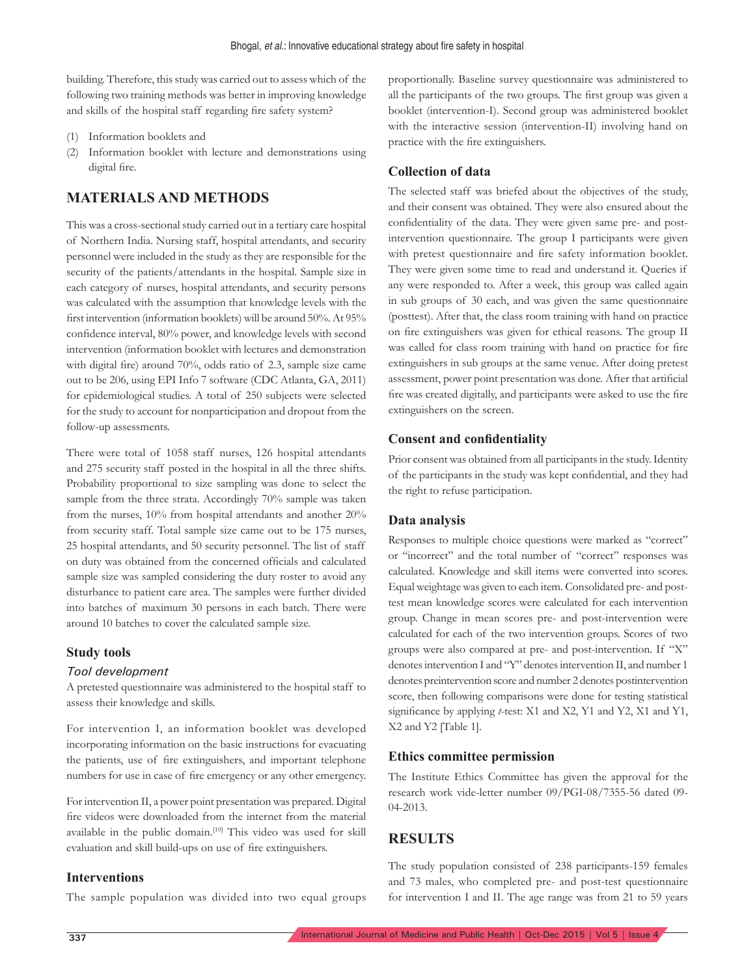building. Therefore, this study was carried out to assess which of the following two training methods was better in improving knowledge and skills of the hospital staff regarding fire safety system?

- (1) Information booklets and
- (2) Information booklet with lecture and demonstrations using digital fire.

## **MATERIALS AND METHODS**

This was a cross-sectional study carried out in a tertiary care hospital of Northern India. Nursing staff, hospital attendants, and security personnel were included in the study as they are responsible for the security of the patients/attendants in the hospital. Sample size in each category of nurses, hospital attendants, and security persons was calculated with the assumption that knowledge levels with the first intervention (information booklets) will be around 50%. At 95% confidence interval, 80% power, and knowledge levels with second intervention (information booklet with lectures and demonstration with digital fire) around 70%, odds ratio of 2.3, sample size came out to be 206, using EPI Info 7 software (CDC Atlanta, GA, 2011) for epidemiological studies. A total of 250 subjects were selected for the study to account for nonparticipation and dropout from the follow-up assessments.

There were total of 1058 staff nurses, 126 hospital attendants and 275 security staff posted in the hospital in all the three shifts. Probability proportional to size sampling was done to select the sample from the three strata. Accordingly 70% sample was taken from the nurses, 10% from hospital attendants and another 20% from security staff. Total sample size came out to be 175 nurses, 25 hospital attendants, and 50 security personnel. The list of staff on duty was obtained from the concerned officials and calculated sample size was sampled considering the duty roster to avoid any disturbance to patient care area. The samples were further divided into batches of maximum 30 persons in each batch. There were around 10 batches to cover the calculated sample size.

#### **Study tools**

#### *Tool development*

A pretested questionnaire was administered to the hospital staff to assess their knowledge and skills.

For intervention I, an information booklet was developed incorporating information on the basic instructions for evacuating the patients, use of fire extinguishers, and important telephone numbers for use in case of fire emergency or any other emergency.

For intervention II, a power point presentation was prepared. Digital fire videos were downloaded from the internet from the material available in the public domain.<sup>[10]</sup> This video was used for skill evaluation and skill build-ups on use of fire extinguishers.

#### **Interventions**

The sample population was divided into two equal groups

proportionally. Baseline survey questionnaire was administered to all the participants of the two groups. The first group was given a booklet (intervention-I). Second group was administered booklet with the interactive session (intervention-II) involving hand on practice with the fire extinguishers.

#### **Collection of data**

The selected staff was briefed about the objectives of the study, and their consent was obtained. They were also ensured about the confidentiality of the data. They were given same pre- and postintervention questionnaire. The group I participants were given with pretest questionnaire and fire safety information booklet. They were given some time to read and understand it. Queries if any were responded to. After a week, this group was called again in sub groups of 30 each, and was given the same questionnaire (posttest). After that, the class room training with hand on practice on fire extinguishers was given for ethical reasons. The group II was called for class room training with hand on practice for fire extinguishers in sub groups at the same venue. After doing pretest assessment, power point presentation was done. After that artificial fire was created digitally, and participants were asked to use the fire extinguishers on the screen.

#### **Consent and confidentiality**

Prior consent was obtained from all participants in the study. Identity of the participants in the study was kept confidential, and they had the right to refuse participation.

#### **Data analysis**

Responses to multiple choice questions were marked as "correct" or "incorrect" and the total number of "correct" responses was calculated. Knowledge and skill items were converted into scores. Equal weightage was given to each item. Consolidated pre- and posttest mean knowledge scores were calculated for each intervention group. Change in mean scores pre- and post-intervention were calculated for each of the two intervention groups. Scores of two groups were also compared at pre- and post-intervention. If "X" denotes intervention I and "Y" denotes intervention II, and number 1 denotes preintervention score and number 2 denotes postintervention score, then following comparisons were done for testing statistical significance by applying *t*-test: X1 and X2, Y1 and Y2, X1 and Y1, X2 and Y2 [Table 1].

#### **Ethics committee permission**

The Institute Ethics Committee has given the approval for the research work vide-letter number 09/PGI-08/7355-56 dated 09- 04-2013.

## **RESULTS**

The study population consisted of 238 participants-159 females and 73 males, who completed pre- and post-test questionnaire for intervention I and II. The age range was from 21 to 59 years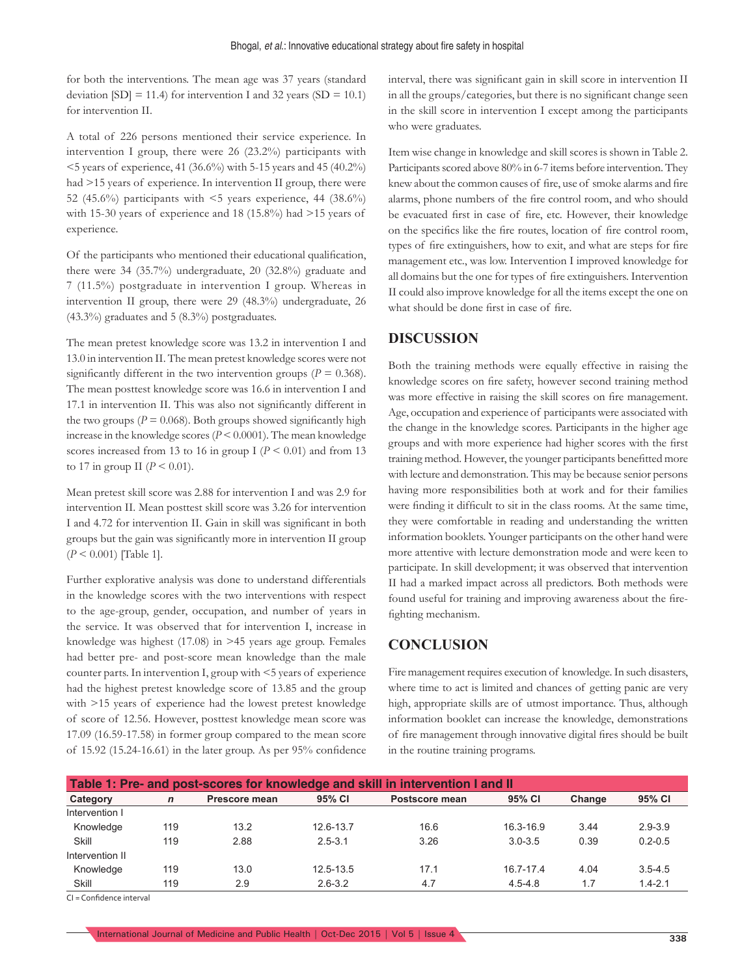for both the interventions. The mean age was 37 years (standard deviation  $[SD] = 11.4$ ) for intervention I and 32 years  $(SD = 10.1)$ for intervention II.

A total of 226 persons mentioned their service experience. In intervention I group, there were 26 (23.2%) participants with <5 years of experience, 41 (36.6%) with 5-15 years and 45 (40.2%) had >15 years of experience. In intervention II group, there were 52 (45.6%) participants with  $\leq$  years experience, 44 (38.6%) with 15-30 years of experience and 18 (15.8%) had >15 years of experience.

Of the participants who mentioned their educational qualification, there were 34 (35.7%) undergraduate, 20 (32.8%) graduate and 7 (11.5%) postgraduate in intervention I group. Whereas in intervention II group, there were 29 (48.3%) undergraduate, 26 (43.3%) graduates and 5 (8.3%) postgraduates.

The mean pretest knowledge score was 13.2 in intervention I and 13.0 in intervention II. The mean pretest knowledge scores were not significantly different in the two intervention groups ( $P = 0.368$ ). The mean posttest knowledge score was 16.6 in intervention I and 17.1 in intervention II. This was also not significantly different in the two groups ( $P = 0.068$ ). Both groups showed significantly high increase in the knowledge scores  $(P \le 0.0001)$ . The mean knowledge scores increased from 13 to 16 in group I ( $P \le 0.01$ ) and from 13 to 17 in group II ( $P \le 0.01$ ).

Mean pretest skill score was 2.88 for intervention I and was 2.9 for intervention II. Mean posttest skill score was 3.26 for intervention I and 4.72 for intervention II. Gain in skill was significant in both groups but the gain was significantly more in intervention II group (*P* < 0.001) [Table 1].

Further explorative analysis was done to understand differentials in the knowledge scores with the two interventions with respect to the age-group, gender, occupation, and number of years in the service. It was observed that for intervention I, increase in knowledge was highest (17.08) in >45 years age group. Females had better pre- and post-score mean knowledge than the male counter parts. In intervention I, group with <5 years of experience had the highest pretest knowledge score of 13.85 and the group with >15 years of experience had the lowest pretest knowledge of score of 12.56. However, posttest knowledge mean score was 17.09 (16.59-17.58) in former group compared to the mean score of 15.92 (15.24-16.61) in the later group. As per 95% confidence interval, there was significant gain in skill score in intervention II in all the groups/categories, but there is no significant change seen in the skill score in intervention I except among the participants who were graduates.

Item wise change in knowledge and skill scores is shown in Table 2. Participants scored above 80% in 6-7 items before intervention. They knew about the common causes of fire, use of smoke alarms and fire alarms, phone numbers of the fire control room, and who should be evacuated first in case of fire, etc. However, their knowledge on the specifics like the fire routes, location of fire control room, types of fire extinguishers, how to exit, and what are steps for fire management etc., was low. Intervention I improved knowledge for all domains but the one for types of fire extinguishers. Intervention II could also improve knowledge for all the items except the one on what should be done first in case of fire.

#### **DISCUSSION**

Both the training methods were equally effective in raising the knowledge scores on fire safety, however second training method was more effective in raising the skill scores on fire management. Age, occupation and experience of participants were associated with the change in the knowledge scores. Participants in the higher age groups and with more experience had higher scores with the first training method. However, the younger participants benefitted more with lecture and demonstration. This may be because senior persons having more responsibilities both at work and for their families were finding it difficult to sit in the class rooms. At the same time, they were comfortable in reading and understanding the written information booklets. Younger participants on the other hand were more attentive with lecture demonstration mode and were keen to participate. In skill development; it was observed that intervention II had a marked impact across all predictors. Both methods were found useful for training and improving awareness about the firefighting mechanism.

#### **CONCLUSION**

Fire management requires execution of knowledge. In such disasters, where time to act is limited and chances of getting panic are very high, appropriate skills are of utmost importance. Thus, although information booklet can increase the knowledge, demonstrations of fire management through innovative digital fires should be built in the routine training programs.

| Table 1: Pre- and post-scores for knowledge and skill in intervention I and II |             |               |             |                          |             |        |             |  |  |  |  |  |
|--------------------------------------------------------------------------------|-------------|---------------|-------------|--------------------------|-------------|--------|-------------|--|--|--|--|--|
| Category                                                                       | $\mathbf n$ | Prescore mean | 95% CI      | 95% CI<br>Postscore mean |             | Change | 95% CI      |  |  |  |  |  |
| Intervention I                                                                 |             |               |             |                          |             |        |             |  |  |  |  |  |
| Knowledge                                                                      | 119         | 13.2          | 12.6-13.7   | 16.6                     | 16.3-16.9   | 3.44   | $2.9 - 3.9$ |  |  |  |  |  |
| Skill                                                                          | 119         | 2.88          | $2.5 - 3.1$ | 3.26                     | $3.0 - 3.5$ | 0.39   | $0.2 - 0.5$ |  |  |  |  |  |
| Intervention II                                                                |             |               |             |                          |             |        |             |  |  |  |  |  |
| Knowledge                                                                      | 119         | 13.0          | 12.5-13.5   | 17.1                     | 16 7-17 4   | 4.04   | $3.5 - 4.5$ |  |  |  |  |  |
| Skill                                                                          | 119         | 2.9           | $2.6 - 3.2$ | 4.7                      | $4.5 - 4.8$ | 1.7    | $1.4 - 2.1$ |  |  |  |  |  |

CI = Confidence interval